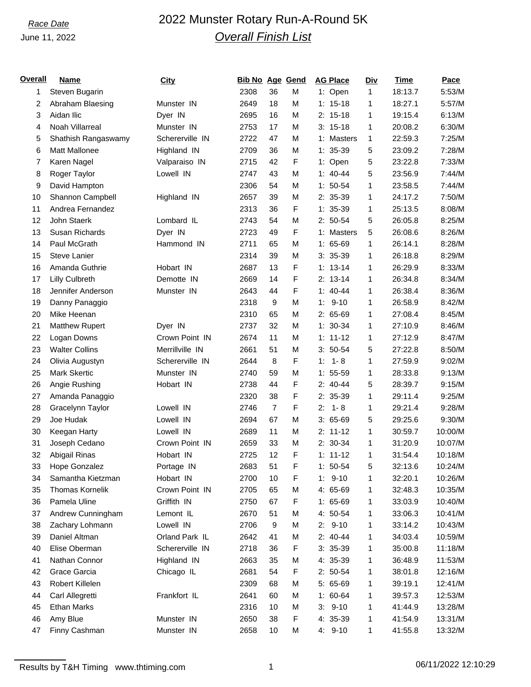## June 11, 2022

# *Race Date* 2022 Munster Rotary Run-A-Round 5K *Overall Finish List*

| <u>Overall</u> | <b>Name</b>            | <b>City</b>     | Bib No Age Gend |                |             | <b>AG Place</b> | <b>Div</b> | Time    | Pace     |
|----------------|------------------------|-----------------|-----------------|----------------|-------------|-----------------|------------|---------|----------|
| 1              | Steven Bugarin         |                 | 2308            | 36             | М           | 1: Open         | 1          | 18:13.7 | $5:53/M$ |
| 2              | Abraham Blaesing       | Munster IN      | 2649            | 18             | M           | $1: 15-18$      | 1          | 18:27.1 | 5:57/M   |
| 3              | Aidan Ilic             | Dyer IN         | 2695            | 16             | М           | $2: 15-18$      | 1          | 19:15.4 | 6:13/M   |
| 4              | Noah Villarreal        | Munster IN      | 2753            | 17             | M           | $3: 15-18$      | 1          | 20:08.2 | 6:30/M   |
| 5              | Shathish Rangaswamy    | Schererville IN | 2722            | 47             | М           | 1: Masters      | 1          | 22:59.3 | 7:25/M   |
| 6              | Matt Mallonee          | Highland IN     | 2709            | 36             | М           | $1: 35-39$      | 5          | 23:09.2 | 7:28/M   |
| 7              | Karen Nagel            | Valparaiso IN   | 2715            | 42             | F           | 1: Open         | 5          | 23:22.8 | 7:33/M   |
| 8              | Roger Taylor           | Lowell IN       | 2747            | 43             | M           | $1: 40 - 44$    | 5          | 23:56.9 | 7:44/M   |
| 9              | David Hampton          |                 | 2306            | 54             | M           | $1: 50-54$      | 1          | 23:58.5 | 7:44/M   |
| 10             | Shannon Campbell       | Highland IN     | 2657            | 39             | M           | $2: 35-39$      | 1          | 24:17.2 | 7:50/M   |
| 11             | Andrea Fernandez       |                 | 2313            | 36             | F           | $1: 35-39$      | 1          | 25:13.5 | 8:08/M   |
| 12             | John Staerk            | Lombard IL      | 2743            | 54             | M           | $2: 50-54$      | 5          | 26:05.8 | 8:25/M   |
| 13             | Susan Richards         | Dyer IN         | 2723            | 49             | F           | 1: Masters      | 5          | 26:08.6 | 8:26/M   |
| 14             | Paul McGrath           | Hammond IN      | 2711            | 65             | M           | $1: 65-69$      | 1          | 26:14.1 | 8:28/M   |
| 15             | <b>Steve Lanier</b>    |                 | 2314            | 39             | М           | $3: 35-39$      | 1          | 26:18.8 | 8:29/M   |
| 16             | Amanda Guthrie         | Hobart IN       | 2687            | 13             | F           | $1: 13-14$      | 1          | 26:29.9 | 8:33/M   |
| 17             | Lilly Culbreth         | Demotte IN      | 2669            | 14             | F           | $2: 13-14$      | 1          | 26:34.8 | 8:34/M   |
| 18             | Jennifer Anderson      | Munster IN      | 2643            | 44             | F           | $1: 40 - 44$    | 1          | 26:38.4 | 8:36/M   |
| 19             | Danny Panaggio         |                 | 2318            | 9              | М           | $1: 9-10$       | 1          | 26:58.9 | 8:42/M   |
| 20             | Mike Heenan            |                 | 2310            | 65             | M           | $2: 65-69$      | 1          | 27:08.4 | 8:45/M   |
| 21             | <b>Matthew Rupert</b>  | Dyer IN         | 2737            | 32             | М           | $1: 30-34$      | 1          | 27:10.9 | 8:46/M   |
| 22             | Logan Downs            | Crown Point IN  | 2674            | 11             | M           | $1: 11 - 12$    | 1          | 27:12.9 | 8:47/M   |
| 23             | <b>Walter Collins</b>  | Merrillville IN | 2661            | 51             | М           | $3: 50-54$      | 5          | 27:22.8 | 8:50/M   |
| 24             | Olivia Augustyn        | Schererville IN | 2644            | 8              | F           | $1 - 8$<br>1:   | 1          | 27:59.9 | 9:02/M   |
| 25             | Mark Skertic           | Munster IN      | 2740            | 59             | M           | $1: 55-59$      | 1          | 28:33.8 | 9:13/M   |
| 26             | Angie Rushing          | Hobart IN       | 2738            | 44             | F           | $2: 40-44$      | 5          | 28:39.7 | 9:15/M   |
| 27             | Amanda Panaggio        |                 | 2320            | 38             | F           | 2: 35-39        | 1          | 29:11.4 | 9:25/M   |
| 28             | Gracelynn Taylor       | Lowell IN       | 2746            | $\overline{7}$ | F           | 2:<br>$1 - 8$   | 1          | 29:21.4 | 9:28/M   |
| 29             | Joe Hudak              | Lowell IN       | 2694            | 67             | M           | $3:65-69$       | 5          | 29:25.6 | 9:30/M   |
| 30             | Keegan Harty           | Lowell IN       | 2689            | 11             | M           | $2: 11-12$      | 1          | 30:59.7 | 10:00/M  |
| 31             | Joseph Cedano          | Crown Point IN  | 2659            | 33             | М           | $2: 30-34$      | 1          | 31:20.9 | 10:07/M  |
| 32             | Abigail Rinas          | Hobart IN       | 2725            | 12             | F           | $1: 11 - 12$    | 1          | 31:54.4 | 10:18/M  |
| 33             | <b>Hope Gonzalez</b>   | Portage IN      | 2683            | 51             | $\mathsf F$ | $1: 50-54$      | $\sqrt{5}$ | 32:13.6 | 10:24/M  |
| 34             | Samantha Kietzman      | Hobart IN       | 2700            | 10             | F           | $1: 9-10$       | 1          | 32:20.1 | 10:26/M  |
| 35             | <b>Thomas Kornelik</b> | Crown Point IN  | 2705            | 65             | М           | 4: 65-69        | 1          | 32:48.3 | 10:35/M  |
| 36             | Pamela Uline           | Griffith IN     | 2750            | 67             | F           | $1: 65-69$      | 1          | 33:03.9 | 10:40/M  |
| 37             | Andrew Cunningham      | Lemont IL       | 2670            | 51             | М           | 4: 50-54        | 1          | 33:06.3 | 10:41/M  |
| 38             | Zachary Lohmann        | Lowell IN       | 2706            | 9              | М           | $2: 9-10$       | 1          | 33:14.2 | 10:43/M  |
| 39             | Daniel Altman          | Orland Park IL  | 2642            | 41             | М           | $2: 40-44$      | 1          | 34:03.4 | 10:59/M  |
| 40             | Elise Oberman          | Schererville IN | 2718            | 36             | F           | $3: 35-39$      | 1          | 35:00.8 | 11:18/M  |
| 41             | Nathan Connor          | Highland IN     | 2663            | 35             | М           | 4: 35-39        | 1          | 36:48.9 | 11:53/M  |
| 42             | Grace Garcia           | Chicago IL      | 2681            | 54             | F           | $2: 50-54$      | 1          | 38:01.8 | 12:16/M  |
| 43             | Robert Killelen        |                 | 2309            | 68             | М           | 5: 65-69        | 1          | 39:19.1 | 12:41/M  |
| 44             | Carl Allegretti        | Frankfort IL    | 2641            | 60             | М           | $1: 60-64$      | 1          | 39:57.3 | 12:53/M  |
| 45             | <b>Ethan Marks</b>     |                 | 2316            | 10             | М           | $3: 9-10$       | 1          | 41:44.9 | 13:28/M  |
| 46             | Amy Blue               | Munster IN      | 2650            | 38             | F           | 4: 35-39        | 1          | 41:54.9 | 13:31/M  |
| 47             | Finny Cashman          | Munster IN      | 2658            | 10             | М           | $4: 9-10$       | 1          | 41:55.8 | 13:32/M  |
|                |                        |                 |                 |                |             |                 |            |         |          |

Results by T&H Timing www.thtiming.com 1 1 1 06/11/2022 12:10:29